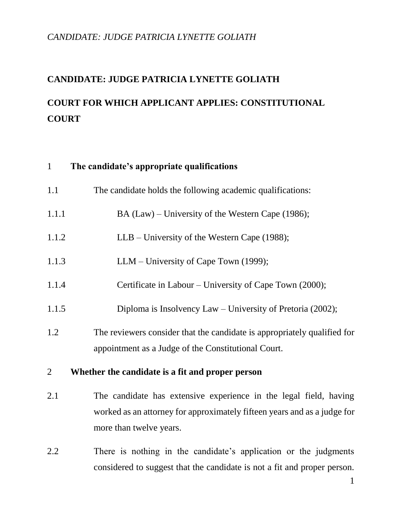# **CANDIDATE: JUDGE PATRICIA LYNETTE GOLIATH**

# **COURT FOR WHICH APPLICANT APPLIES: CONSTITUTIONAL COURT**

# 1 **The candidate's appropriate qualifications**

| The candidate holds the following academic qualifications:<br>1.1 |  |  |
|-------------------------------------------------------------------|--|--|
|-------------------------------------------------------------------|--|--|

- 1.1.1 BA (Law) University of the Western Cape (1986);
- 1.1.2 LLB University of the Western Cape (1988);
- 1.1.3 LLM University of Cape Town (1999);
- 1.1.4 Certificate in Labour University of Cape Town (2000);
- 1.1.5 Diploma is Insolvency Law University of Pretoria (2002);
- 1.2 The reviewers consider that the candidate is appropriately qualified for appointment as a Judge of the Constitutional Court.

#### 2 **Whether the candidate is a fit and proper person**

- 2.1 The candidate has extensive experience in the legal field, having worked as an attorney for approximately fifteen years and as a judge for more than twelve years.
- 2.2 There is nothing in the candidate's application or the judgments considered to suggest that the candidate is not a fit and proper person.

1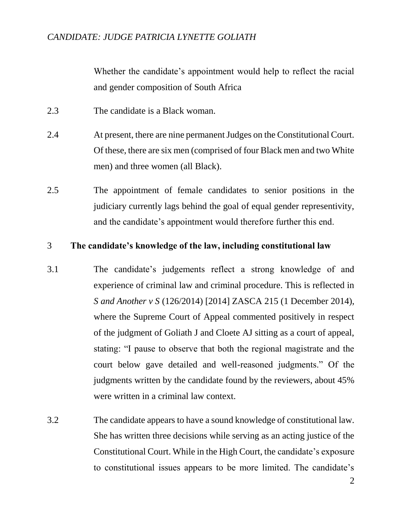Whether the candidate's appointment would help to reflect the racial and gender composition of South Africa

- 2.3 The candidate is a Black woman.
- 2.4 At present, there are nine permanent Judges on the Constitutional Court. Of these, there are six men (comprised of four Black men and two White men) and three women (all Black).
- 2.5 The appointment of female candidates to senior positions in the judiciary currently lags behind the goal of equal gender representivity, and the candidate's appointment would therefore further this end.

#### 3 **The candidate's knowledge of the law, including constitutional law**

- 3.1 The candidate's judgements reflect a strong knowledge of and experience of criminal law and criminal procedure. This is reflected in *S and Another v S* (126/2014) [2014] ZASCA 215 (1 December 2014), where the Supreme Court of Appeal commented positively in respect of the judgment of Goliath J and Cloete AJ sitting as a court of appeal, stating: "I pause to observe that both the regional magistrate and the court below gave detailed and well-reasoned judgments." Of the judgments written by the candidate found by the reviewers, about 45% were written in a criminal law context.
- 3.2 The candidate appears to have a sound knowledge of constitutional law. She has written three decisions while serving as an acting justice of the Constitutional Court. While in the High Court, the candidate's exposure to constitutional issues appears to be more limited. The candidate's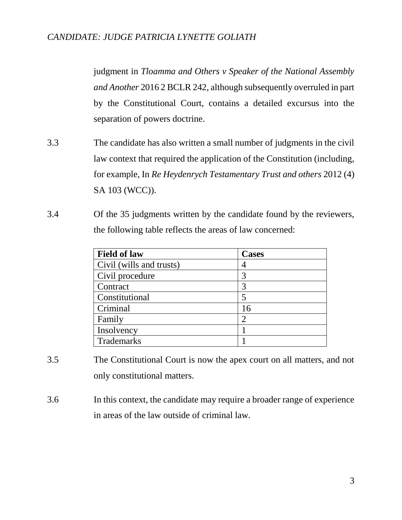judgment in *Tloamma and Others v Speaker of the National Assembly and Another* 2016 2 BCLR 242, although subsequently overruled in part by the Constitutional Court, contains a detailed excursus into the separation of powers doctrine.

- 3.3 The candidate has also written a small number of judgments in the civil law context that required the application of the Constitution (including, for example, In *Re Heydenrych Testamentary Trust and others* 2012 (4) SA 103 (WCC)).
- 3.4 Of the 35 judgments written by the candidate found by the reviewers, the following table reflects the areas of law concerned:

| <b>Field of law</b>      | <b>Cases</b> |  |
|--------------------------|--------------|--|
| Civil (wills and trusts) |              |  |
| Civil procedure          | 3            |  |
| Contract                 | 3            |  |
| Constitutional           | 5            |  |
| Criminal                 | 16           |  |
| Family                   | 2            |  |
| Insolvency               |              |  |
| Trademarks               |              |  |

- 3.5 The Constitutional Court is now the apex court on all matters, and not only constitutional matters.
- 3.6 In this context, the candidate may require a broader range of experience in areas of the law outside of criminal law.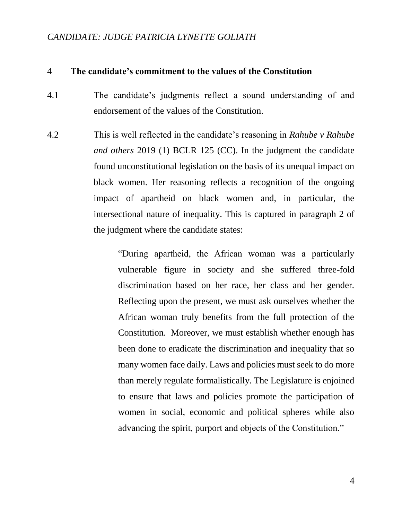#### 4 **The candidate's commitment to the values of the Constitution**

- 4.1 The candidate's judgments reflect a sound understanding of and endorsement of the values of the Constitution.
- 4.2 This is well reflected in the candidate's reasoning in *Rahube v Rahube and others* 2019 (1) BCLR 125 (CC). In the judgment the candidate found unconstitutional legislation on the basis of its unequal impact on black women. Her reasoning reflects a recognition of the ongoing impact of apartheid on black women and, in particular, the intersectional nature of inequality. This is captured in paragraph 2 of the judgment where the candidate states:

"During apartheid, the African woman was a particularly vulnerable figure in society and she suffered three-fold discrimination based on her race, her class and her gender. Reflecting upon the present, we must ask ourselves whether the African woman truly benefits from the full protection of the Constitution. Moreover, we must establish whether enough has been done to eradicate the discrimination and inequality that so many women face daily. Laws and policies must seek to do more than merely regulate formalistically. The Legislature is enjoined to ensure that laws and policies promote the participation of women in social, economic and political spheres while also advancing the spirit, purport and objects of the Constitution."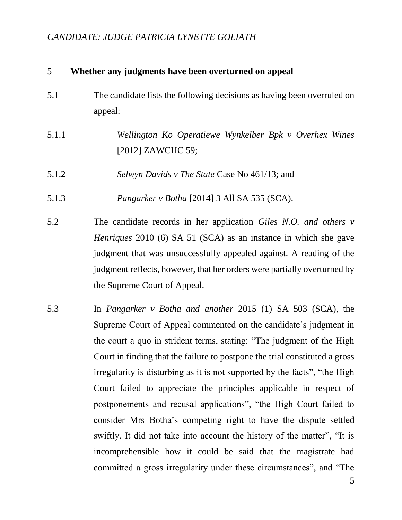#### 5 **Whether any judgments have been overturned on appeal**

- 5.1 The candidate lists the following decisions as having been overruled on appeal:
- 5.1.1 *Wellington Ko Operatiewe Wynkelber Bpk v Overhex Wines* [2012] ZAWCHC 59;
- 5.1.2 *Selwyn Davids v The State* Case No 461/13; and
- 5.1.3 *Pangarker v Botha* [2014] 3 All SA 535 (SCA).
- 5.2 The candidate records in her application *Giles N.O. and others v Henriques* 2010 (6) SA 51 (SCA) as an instance in which she gave judgment that was unsuccessfully appealed against. A reading of the judgment reflects, however, that her orders were partially overturned by the Supreme Court of Appeal.
- 5.3 In *Pangarker v Botha and another* 2015 (1) SA 503 (SCA), the Supreme Court of Appeal commented on the candidate's judgment in the court a quo in strident terms, stating: "The judgment of the High Court in finding that the failure to postpone the trial constituted a gross irregularity is disturbing as it is not supported by the facts", "the High Court failed to appreciate the principles applicable in respect of postponements and recusal applications", "the High Court failed to consider Mrs Botha's competing right to have the dispute settled swiftly. It did not take into account the history of the matter", "It is incomprehensible how it could be said that the magistrate had committed a gross irregularity under these circumstances", and "The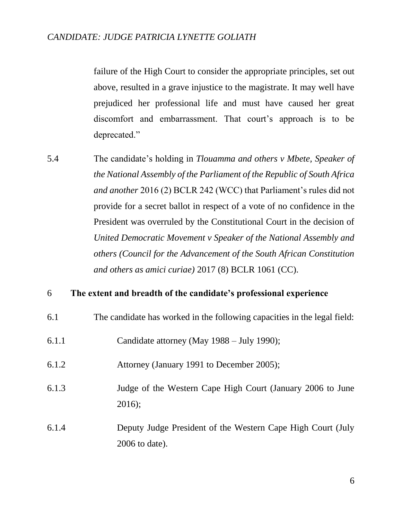failure of the High Court to consider the appropriate principles, set out above, resulted in a grave injustice to the magistrate. It may well have prejudiced her professional life and must have caused her great discomfort and embarrassment. That court's approach is to be deprecated."

5.4 The candidate's holding in *Tlouamma and others v Mbete, Speaker of the National Assembly of the Parliament of the Republic of South Africa and another* 2016 (2) BCLR 242 (WCC) that Parliament's rules did not provide for a secret ballot in respect of a vote of no confidence in the President was overruled by the Constitutional Court in the decision of *United Democratic Movement v Speaker of the National Assembly and others (Council for the Advancement of the South African Constitution and others as amici curiae)* 2017 (8) BCLR 1061 (CC).

#### 6 **The extent and breadth of the candidate's professional experience**

- 6.1 The candidate has worked in the following capacities in the legal field:
- 6.1.1 Candidate attorney (May 1988 July 1990);
- 6.1.2 Attorney (January 1991 to December 2005);
- 6.1.3 Judge of the Western Cape High Court (January 2006 to June 2016);
- 6.1.4 Deputy Judge President of the Western Cape High Court (July 2006 to date).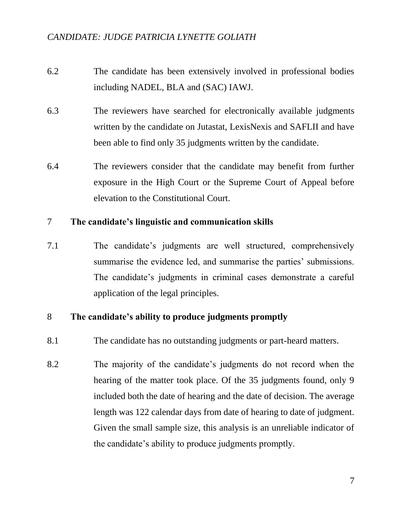- 6.2 The candidate has been extensively involved in professional bodies including NADEL, BLA and (SAC) IAWJ.
- 6.3 The reviewers have searched for electronically available judgments written by the candidate on Jutastat, LexisNexis and SAFLII and have been able to find only 35 judgments written by the candidate.
- 6.4 The reviewers consider that the candidate may benefit from further exposure in the High Court or the Supreme Court of Appeal before elevation to the Constitutional Court.

### 7 **The candidate's linguistic and communication skills**

7.1 The candidate's judgments are well structured, comprehensively summarise the evidence led, and summarise the parties' submissions. The candidate's judgments in criminal cases demonstrate a careful application of the legal principles.

## 8 **The candidate's ability to produce judgments promptly**

- 8.1 The candidate has no outstanding judgments or part-heard matters.
- 8.2 The majority of the candidate's judgments do not record when the hearing of the matter took place. Of the 35 judgments found, only 9 included both the date of hearing and the date of decision. The average length was 122 calendar days from date of hearing to date of judgment. Given the small sample size, this analysis is an unreliable indicator of the candidate's ability to produce judgments promptly.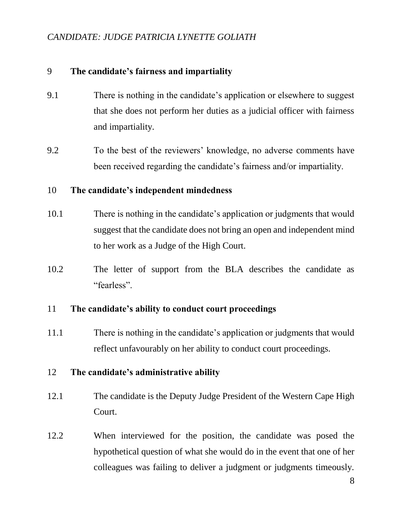## 9 **The candidate's fairness and impartiality**

- 9.1 There is nothing in the candidate's application or elsewhere to suggest that she does not perform her duties as a judicial officer with fairness and impartiality.
- 9.2 To the best of the reviewers' knowledge, no adverse comments have been received regarding the candidate's fairness and/or impartiality.

### 10 **The candidate's independent mindedness**

- 10.1 There is nothing in the candidate's application or judgments that would suggest that the candidate does not bring an open and independent mind to her work as a Judge of the High Court.
- 10.2 The letter of support from the BLA describes the candidate as "fearless".

#### 11 **The candidate's ability to conduct court proceedings**

11.1 There is nothing in the candidate's application or judgments that would reflect unfavourably on her ability to conduct court proceedings.

#### 12 **The candidate's administrative ability**

- 12.1 The candidate is the Deputy Judge President of the Western Cape High Court.
- 12.2 When interviewed for the position, the candidate was posed the hypothetical question of what she would do in the event that one of her colleagues was failing to deliver a judgment or judgments timeously.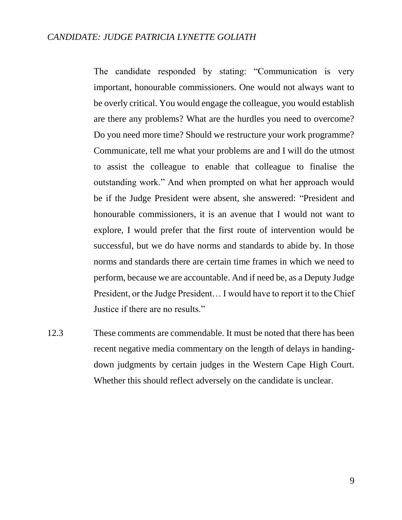The candidate responded by stating: "Communication is very important, honourable commissioners. One would not always want to be overly critical. You would engage the colleague, you would establish are there any problems? What are the hurdles you need to overcome? Do you need more time? Should we restructure your work programme? Communicate, tell me what your problems are and I will do the utmost to assist the colleague to enable that colleague to finalise the outstanding work." And when prompted on what her approach would be if the Judge President were absent, she answered: "President and honourable commissioners, it is an avenue that I would not want to explore, I would prefer that the first route of intervention would be successful, but we do have norms and standards to abide by. In those norms and standards there are certain time frames in which we need to perform, because we are accountable. And if need be, as a Deputy Judge President, or the Judge President… I would have to report it to the Chief Justice if there are no results."

12.3 These comments are commendable. It must be noted that there has been recent negative media commentary on the length of delays in handingdown judgments by certain judges in the Western Cape High Court. Whether this should reflect adversely on the candidate is unclear.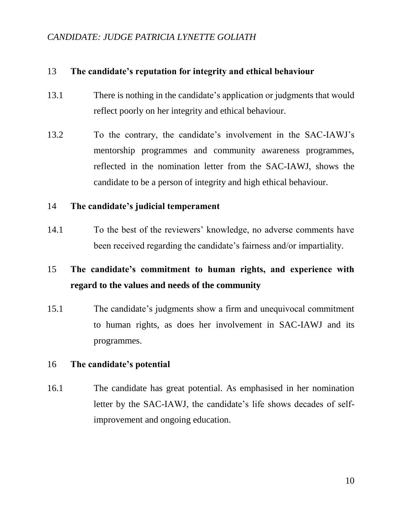## 13 **The candidate's reputation for integrity and ethical behaviour**

- 13.1 There is nothing in the candidate's application or judgments that would reflect poorly on her integrity and ethical behaviour.
- 13.2 To the contrary, the candidate's involvement in the SAC-IAWJ's mentorship programmes and community awareness programmes, reflected in the nomination letter from the SAC-IAWJ, shows the candidate to be a person of integrity and high ethical behaviour.

#### 14 **The candidate's judicial temperament**

14.1 To the best of the reviewers' knowledge, no adverse comments have been received regarding the candidate's fairness and/or impartiality.

# 15 **The candidate's commitment to human rights, and experience with regard to the values and needs of the community**

15.1 The candidate's judgments show a firm and unequivocal commitment to human rights, as does her involvement in SAC-IAWJ and its programmes.

## 16 **The candidate's potential**

16.1 The candidate has great potential. As emphasised in her nomination letter by the SAC-IAWJ, the candidate's life shows decades of selfimprovement and ongoing education.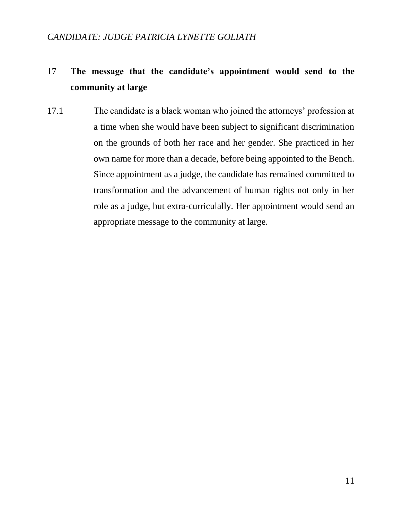# 17 **The message that the candidate's appointment would send to the community at large**

17.1 The candidate is a black woman who joined the attorneys' profession at a time when she would have been subject to significant discrimination on the grounds of both her race and her gender. She practiced in her own name for more than a decade, before being appointed to the Bench. Since appointment as a judge, the candidate has remained committed to transformation and the advancement of human rights not only in her role as a judge, but extra-curriculally. Her appointment would send an appropriate message to the community at large.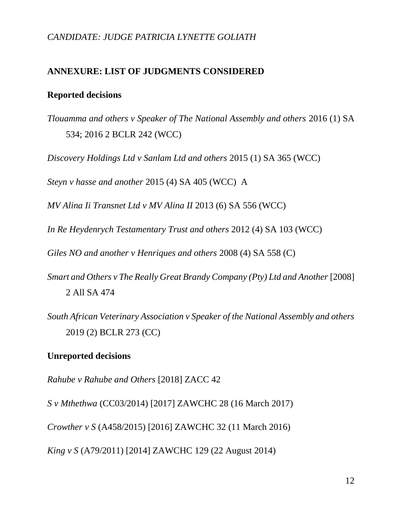#### **ANNEXURE: LIST OF JUDGMENTS CONSIDERED**

# **Reported decisions**

*Tlouamma and others v Speaker of The National Assembly and others* 2016 (1) SA 534; 2016 2 BCLR 242 (WCC)

*Discovery Holdings Ltd v Sanlam Ltd and others* 2015 (1) SA 365 (WCC)

*Steyn v hasse and another* 2015 (4) SA 405 (WCC) A

*MV Alina Ii Transnet Ltd v MV Alina II* 2013 (6) SA 556 (WCC)

*In Re Heydenrych Testamentary Trust and others* 2012 (4) SA 103 (WCC)

*Giles NO and another v Henriques and others* 2008 (4) SA 558 (C)

*Smart and Others v The Really Great Brandy Company (Pty) Ltd and Another* [2008] 2 All SA 474

*South African Veterinary Association v Speaker of the National Assembly and others*  2019 (2) BCLR 273 (CC)

#### **Unreported decisions**

*Rahube v Rahube and Others* [2018] ZACC 42

*S v Mthethwa* (CC03/2014) [2017] ZAWCHC 28 (16 March 2017)

*Crowther v S* (A458/2015) [2016] ZAWCHC 32 (11 March 2016)

*King v S* (A79/2011) [2014] ZAWCHC 129 (22 August 2014)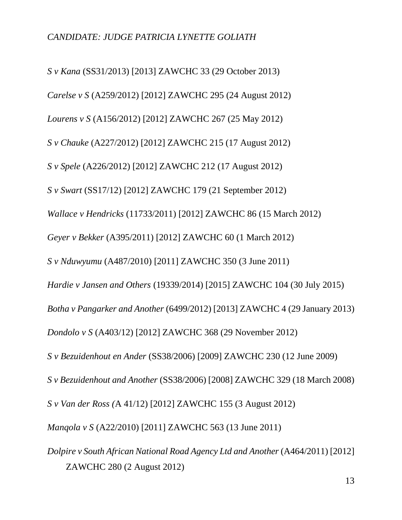*S v Kana* (SS31/2013) [2013] ZAWCHC 33 (29 October 2013) *Carelse v S* (A259/2012) [2012] ZAWCHC 295 (24 August 2012) *Lourens v S* (A156/2012) [2012] ZAWCHC 267 (25 May 2012) *S v Chauke* (A227/2012) [2012] ZAWCHC 215 (17 August 2012) *S v Spele* (A226/2012) [2012] ZAWCHC 212 (17 August 2012) *S v Swart* (SS17/12) [2012] ZAWCHC 179 (21 September 2012) *Wallace v Hendricks* (11733/2011) [2012] ZAWCHC 86 (15 March 2012) *Geyer v Bekker* (A395/2011) [2012] ZAWCHC 60 (1 March 2012) *S v Nduwyumu* (A487/2010) [2011] ZAWCHC 350 (3 June 2011) *Hardie v Jansen and Others* (19339/2014) [2015] ZAWCHC 104 (30 July 2015) *Botha v Pangarker and Another* (6499/2012) [2013] ZAWCHC 4 (29 January 2013) *Dondolo v S* (A403/12) [2012] ZAWCHC 368 (29 November 2012) *S v Bezuidenhout en Ander* (SS38/2006) [2009] ZAWCHC 230 (12 June 2009) *S v Bezuidenhout and Another* (SS38/2006) [2008] ZAWCHC 329 (18 March 2008) *S v Van der Ross (*A 41/12) [2012] ZAWCHC 155 (3 August 2012) *Manqola v S* (A22/2010) [2011] ZAWCHC 563 (13 June 2011) *Dolpire v South African National Road Agency Ltd and Another (A464/2011)* [2012]

ZAWCHC 280 (2 August 2012)